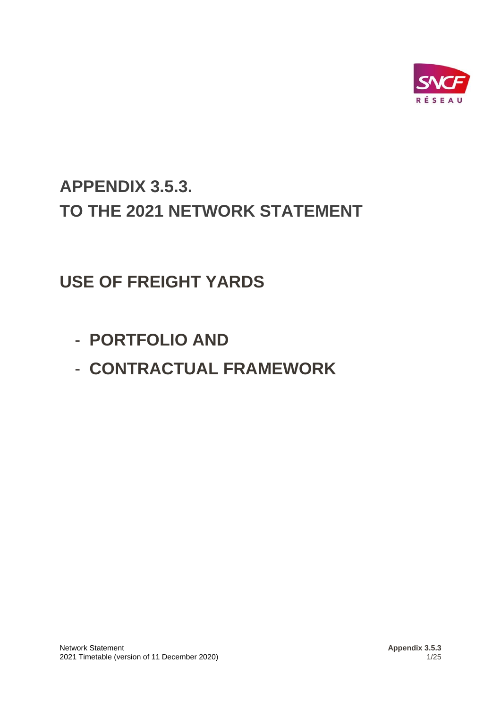

# **APPENDIX 3.5.3. TO THE 2021 NETWORK STATEMENT**

# **USE OF FREIGHT YARDS**

- **PORTFOLIO AND**
- **CONTRACTUAL FRAMEWORK**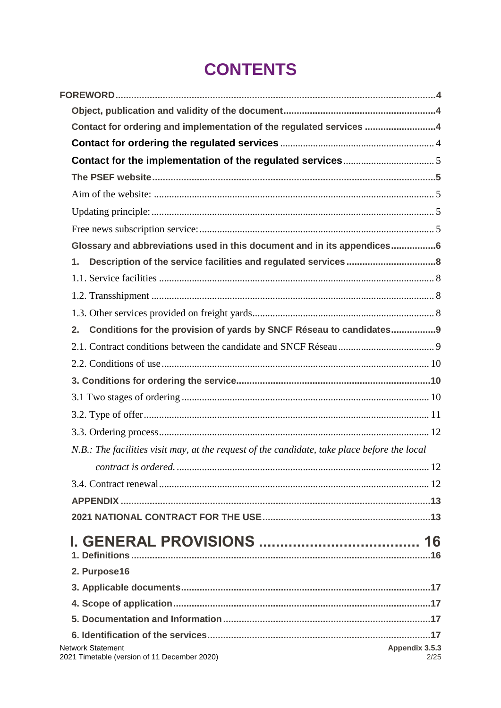# **CONTENTS**

| Contact for ordering and implementation of the regulated services 4                          |                        |
|----------------------------------------------------------------------------------------------|------------------------|
|                                                                                              |                        |
|                                                                                              |                        |
|                                                                                              |                        |
|                                                                                              |                        |
|                                                                                              |                        |
|                                                                                              |                        |
| Glossary and abbreviations used in this document and in its appendices6                      |                        |
| 1.                                                                                           |                        |
|                                                                                              |                        |
|                                                                                              |                        |
|                                                                                              |                        |
| Conditions for the provision of yards by SNCF Réseau to candidates9<br>2.                    |                        |
|                                                                                              |                        |
|                                                                                              |                        |
|                                                                                              |                        |
|                                                                                              |                        |
|                                                                                              |                        |
|                                                                                              |                        |
| N.B.: The facilities visit may, at the request of the candidate, take place before the local |                        |
|                                                                                              |                        |
|                                                                                              |                        |
|                                                                                              |                        |
|                                                                                              |                        |
|                                                                                              |                        |
|                                                                                              |                        |
| 2. Purpose16                                                                                 |                        |
|                                                                                              |                        |
|                                                                                              |                        |
|                                                                                              |                        |
|                                                                                              |                        |
| <b>Network Statement</b><br>2021 Timetable (version of 11 December 2020)                     | Appendix 3.5.3<br>2/25 |
|                                                                                              |                        |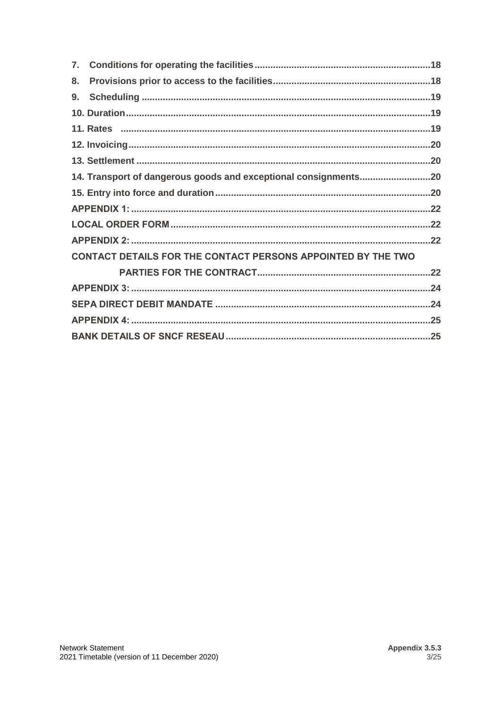| 7. |                                                              |  |
|----|--------------------------------------------------------------|--|
| 8. |                                                              |  |
| 9. |                                                              |  |
|    |                                                              |  |
|    |                                                              |  |
|    |                                                              |  |
|    |                                                              |  |
|    |                                                              |  |
|    |                                                              |  |
|    |                                                              |  |
|    |                                                              |  |
|    |                                                              |  |
|    | CONTACT DETAILS FOR THE CONTACT PERSONS APPOINTED BY THE TWO |  |
|    |                                                              |  |
|    |                                                              |  |
|    |                                                              |  |
|    |                                                              |  |
|    |                                                              |  |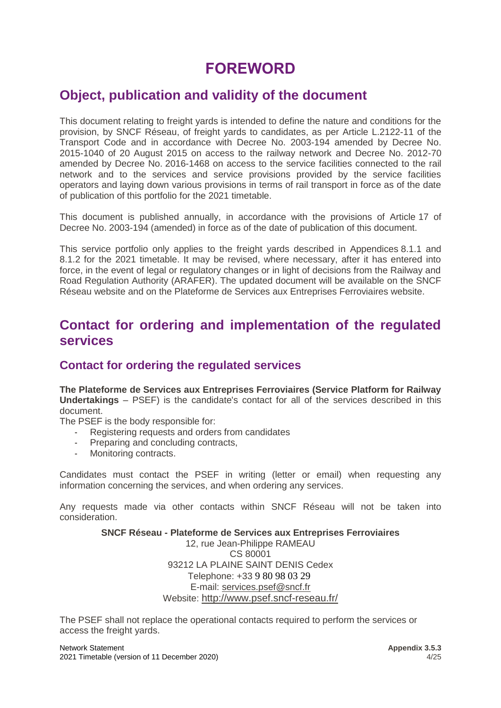## **FOREWORD**

### <span id="page-3-0"></span>**Object, publication and validity of the document**

This document relating to freight yards is intended to define the nature and conditions for the provision, by SNCF Réseau, of freight yards to candidates, as per Article L.2122-11 of the Transport Code and in accordance with Decree No. 2003-194 amended by Decree No. 2015-1040 of 20 August 2015 on access to the railway network and Decree No. 2012-70 amended by Decree No. 2016-1468 on access to the service facilities connected to the rail network and to the services and service provisions provided by the service facilities operators and laying down various provisions in terms of rail transport in force as of the date of publication of this portfolio for the 2021 timetable.

This document is published annually, in accordance with the provisions of Article 17 of Decree No. 2003-194 (amended) in force as of the date of publication of this document.

This service portfolio only applies to the freight yards described in Appendices 8.1.1 and 8.1.2 for the 2021 timetable. It may be revised, where necessary, after it has entered into force, in the event of legal or regulatory changes or in light of decisions from the Railway and Road Regulation Authority (ARAFER). The updated document will be available on the SNCF Réseau website and on the Plateforme de Services aux Entreprises Ferroviaires website.

### <span id="page-3-1"></span>**Contact for ordering and implementation of the regulated services**

### <span id="page-3-2"></span>**Contact for ordering the regulated services**

**The Plateforme de Services aux Entreprises Ferroviaires (Service Platform for Railway Undertakings** – PSEF) is the candidate's contact for all of the services described in this document.

The PSEF is the body responsible for:

- Registering requests and orders from candidates
- Preparing and concluding contracts,
- Monitoring contracts.

Candidates must contact the PSEF in writing (letter or email) when requesting any information concerning the services, and when ordering any services.

Any requests made via other contacts within SNCF Réseau will not be taken into consideration.

#### **SNCF Réseau - Plateforme de Services aux Entreprises Ferroviaires** 12, rue Jean-Philippe RAMEAU

CS 80001 93212 LA PLAINE SAINT DENIS Cedex Telephone: +33 9 80 98 03 29 E-mail: [services.psef@sncf.fr](mailto:services.psef@sncf.fr) Website: <http://www.psef.sncf-reseau.fr/>

The PSEF shall not replace the operational contacts required to perform the services or access the freight yards.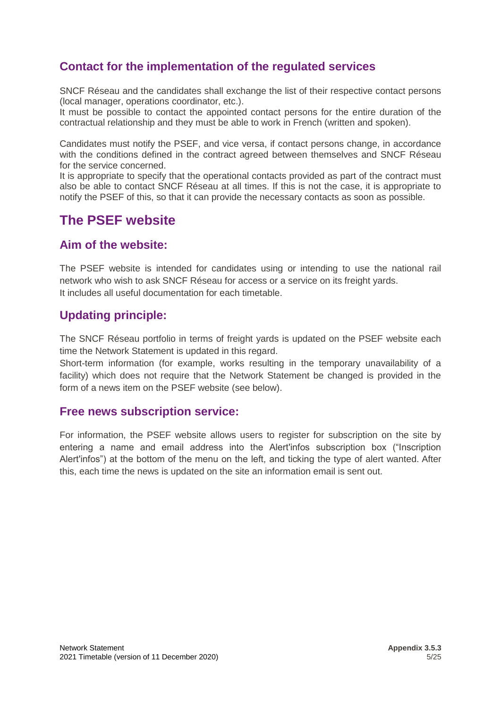### <span id="page-4-0"></span>**Contact for the implementation of the regulated services**

SNCF Réseau and the candidates shall exchange the list of their respective contact persons (local manager, operations coordinator, etc.).

It must be possible to contact the appointed contact persons for the entire duration of the contractual relationship and they must be able to work in French (written and spoken).

Candidates must notify the PSEF, and vice versa, if contact persons change, in accordance with the conditions defined in the contract agreed between themselves and SNCF Réseau for the service concerned.

It is appropriate to specify that the operational contacts provided as part of the contract must also be able to contact SNCF Réseau at all times. If this is not the case, it is appropriate to notify the PSEF of this, so that it can provide the necessary contacts as soon as possible.

### <span id="page-4-1"></span>**The PSEF website**

### <span id="page-4-2"></span>**Aim of the website:**

The PSEF website is intended for candidates using or intending to use the national rail network who wish to ask SNCF Réseau for access or a service on its freight yards. It includes all useful documentation for each timetable.

### <span id="page-4-3"></span>**Updating principle:**

The SNCF Réseau portfolio in terms of freight yards is updated on the PSEF website each time the Network Statement is updated in this regard.

Short-term information (for example, works resulting in the temporary unavailability of a facility) which does not require that the Network Statement be changed is provided in the form of a news item on the PSEF website (see below).

#### <span id="page-4-4"></span>**Free news subscription service:**

For information, the PSEF website allows users to register for subscription on the site by entering a name and email address into the Alert'infos subscription box ("Inscription Alert'infos") at the bottom of the menu on the left, and ticking the type of alert wanted. After this, each time the news is updated on the site an information email is sent out.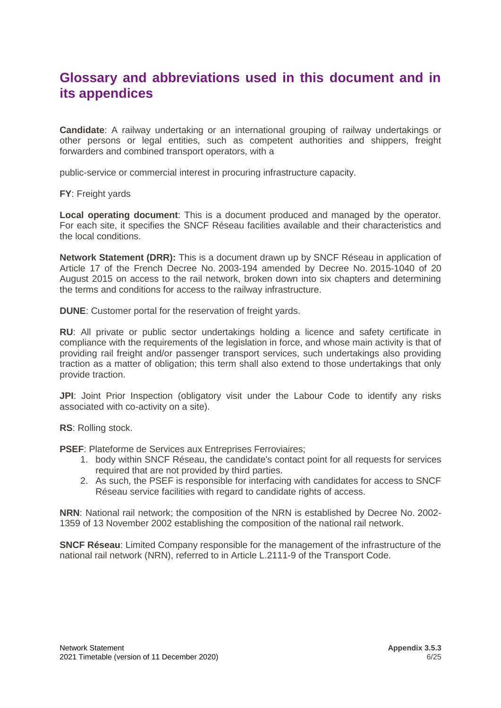### <span id="page-5-0"></span>**Glossary and abbreviations used in this document and in its appendices**

**Candidate**: A railway undertaking or an international grouping of railway undertakings or other persons or legal entities, such as competent authorities and shippers, freight forwarders and combined transport operators, with a

public-service or commercial interest in procuring infrastructure capacity.

**FY**: Freight yards

**Local operating document**: This is a document produced and managed by the operator. For each site, it specifies the SNCF Réseau facilities available and their characteristics and the local conditions.

**Network Statement (DRR):** This is a document drawn up by SNCF Réseau in application of Article 17 of the French Decree No. 2003-194 amended by Decree No. 2015-1040 of 20 August 2015 on access to the rail network, broken down into six chapters and determining the terms and conditions for access to the railway infrastructure.

**DUNE**: Customer portal for the reservation of freight yards.

**RU**: All private or public sector undertakings holding a licence and safety certificate in compliance with the requirements of the legislation in force, and whose main activity is that of providing rail freight and/or passenger transport services, such undertakings also providing traction as a matter of obligation; this term shall also extend to those undertakings that only provide traction.

**JPI:** Joint Prior Inspection (obligatory visit under the Labour Code to identify any risks associated with co-activity on a site).

**RS**: Rolling stock.

**PSEF**: Plateforme de Services aux Entreprises Ferroviaires;

- 1. body within SNCF Réseau, the candidate's contact point for all requests for services required that are not provided by third parties.
- 2. As such, the PSEF is responsible for interfacing with candidates for access to SNCF Réseau service facilities with regard to candidate rights of access.

**NRN**: National rail network; the composition of the NRN is established by Decree No. 2002- 1359 of 13 November 2002 establishing the composition of the national rail network.

**SNCF Réseau**: Limited Company responsible for the management of the infrastructure of the national rail network (NRN), referred to in Article L.2111-9 of the Transport Code.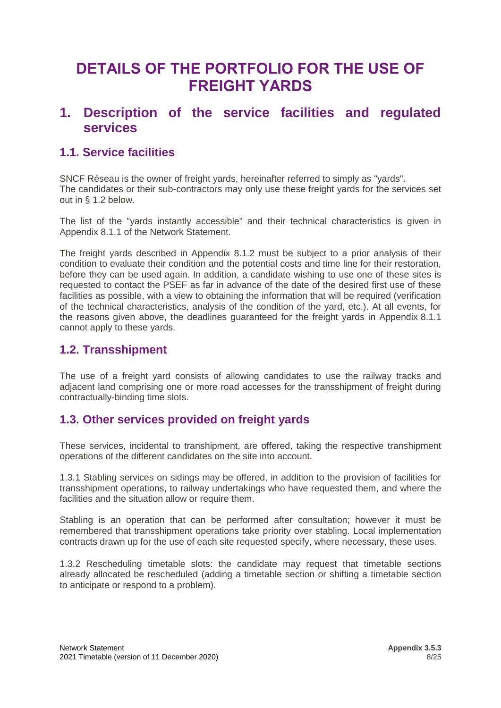## **DETAILS OF THE PORTFOLIO FOR THE USE OF FREIGHT YARDS**

### <span id="page-7-0"></span>**1. Description of the service facilities and regulated services**

### <span id="page-7-1"></span>**1.1. Service facilities**

SNCF Réseau is the owner of freight yards, hereinafter referred to simply as "yards". The candidates or their sub-contractors may only use these freight yards for the services set out in § 1.2 below.

The list of the "yards instantly accessible" and their technical characteristics is given in Appendix 8.1.1 of the Network Statement.

The freight yards described in Appendix 8.1.2 must be subject to a prior analysis of their condition to evaluate their condition and the potential costs and time line for their restoration, before they can be used again. In addition, a candidate wishing to use one of these sites is requested to contact the PSEF as far in advance of the date of the desired first use of these facilities as possible, with a view to obtaining the information that will be required (verification of the technical characteristics, analysis of the condition of the yard, etc.). At all events, for the reasons given above, the deadlines guaranteed for the freight yards in Appendix 8.1.1 cannot apply to these yards.

### <span id="page-7-2"></span>**1.2. Transshipment**

The use of a freight yard consists of allowing candidates to use the railway tracks and adjacent land comprising one or more road accesses for the transshipment of freight during contractually-binding time slots.

### <span id="page-7-3"></span>**1.3. Other services provided on freight yards**

These services, incidental to transhipment, are offered, taking the respective transhipment operations of the different candidates on the site into account.

1.3.1 Stabling services on sidings may be offered, in addition to the provision of facilities for transshipment operations, to railway undertakings who have requested them, and where the facilities and the situation allow or require them.

Stabling is an operation that can be performed after consultation; however it must be remembered that transshipment operations take priority over stabling. Local implementation contracts drawn up for the use of each site requested specify, where necessary, these uses.

1.3.2 Rescheduling timetable slots: the candidate may request that timetable sections already allocated be rescheduled (adding a timetable section or shifting a timetable section to anticipate or respond to a problem).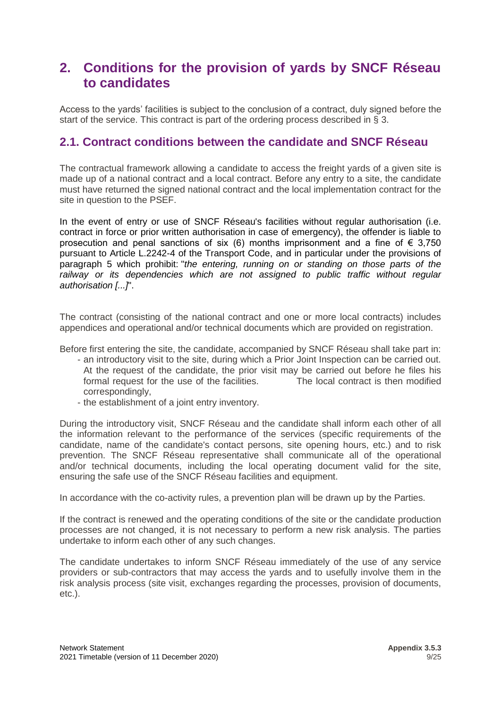### <span id="page-8-0"></span>**2. Conditions for the provision of yards by SNCF Réseau to candidates**

Access to the yards' facilities is subject to the conclusion of a contract, duly signed before the start of the service. This contract is part of the ordering process described in § 3.

### <span id="page-8-1"></span>**2.1. Contract conditions between the candidate and SNCF Réseau**

The contractual framework allowing a candidate to access the freight yards of a given site is made up of a national contract and a local contract. Before any entry to a site, the candidate must have returned the signed national contract and the local implementation contract for the site in question to the PSEF.

In the event of entry or use of SNCF Réseau's facilities without regular authorisation (i.e. contract in force or prior written authorisation in case of emergency), the offender is liable to prosecution and penal sanctions of six (6) months imprisonment and a fine of  $\epsilon$  3,750 pursuant to Article L.2242-4 of the Transport Code, and in particular under the provisions of paragraph 5 which prohibit: "*the entering, running on or standing on those parts of the*  railway or its dependencies which are not assigned to public traffic without regular *authorisation [...]*".

The contract (consisting of the national contract and one or more local contracts) includes appendices and operational and/or technical documents which are provided on registration.

Before first entering the site, the candidate, accompanied by SNCF Réseau shall take part in:

- an introductory visit to the site, during which a Prior Joint Inspection can be carried out. At the request of the candidate, the prior visit may be carried out before he files his formal request for the use of the facilities. The local contract is then modified correspondingly,
- the establishment of a joint entry inventory.

During the introductory visit, SNCF Réseau and the candidate shall inform each other of all the information relevant to the performance of the services (specific requirements of the candidate, name of the candidate's contact persons, site opening hours, etc.) and to risk prevention. The SNCF Réseau representative shall communicate all of the operational and/or technical documents, including the local operating document valid for the site, ensuring the safe use of the SNCF Réseau facilities and equipment.

In accordance with the co-activity rules, a prevention plan will be drawn up by the Parties.

If the contract is renewed and the operating conditions of the site or the candidate production processes are not changed, it is not necessary to perform a new risk analysis. The parties undertake to inform each other of any such changes.

The candidate undertakes to inform SNCF Réseau immediately of the use of any service providers or sub-contractors that may access the yards and to usefully involve them in the risk analysis process (site visit, exchanges regarding the processes, provision of documents, etc.).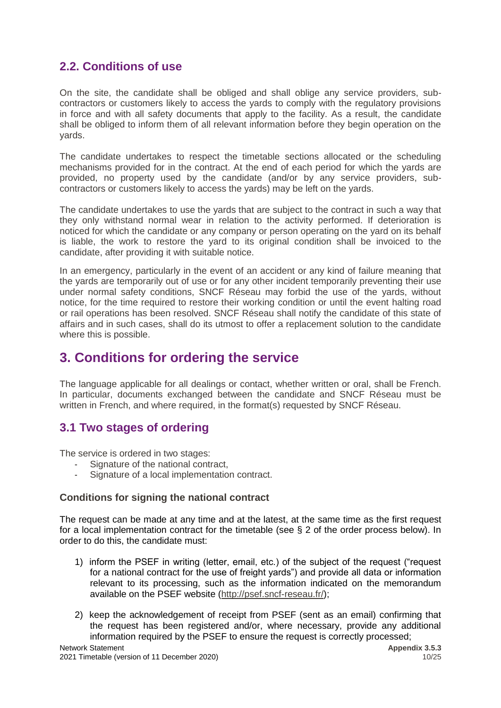### <span id="page-9-0"></span>**2.2. Conditions of use**

On the site, the candidate shall be obliged and shall oblige any service providers, subcontractors or customers likely to access the yards to comply with the regulatory provisions in force and with all safety documents that apply to the facility. As a result, the candidate shall be obliged to inform them of all relevant information before they begin operation on the yards.

The candidate undertakes to respect the timetable sections allocated or the scheduling mechanisms provided for in the contract. At the end of each period for which the yards are provided, no property used by the candidate (and/or by any service providers, subcontractors or customers likely to access the yards) may be left on the yards.

The candidate undertakes to use the yards that are subject to the contract in such a way that they only withstand normal wear in relation to the activity performed. If deterioration is noticed for which the candidate or any company or person operating on the yard on its behalf is liable, the work to restore the yard to its original condition shall be invoiced to the candidate, after providing it with suitable notice.

In an emergency, particularly in the event of an accident or any kind of failure meaning that the yards are temporarily out of use or for any other incident temporarily preventing their use under normal safety conditions, SNCF Réseau may forbid the use of the yards, without notice, for the time required to restore their working condition or until the event halting road or rail operations has been resolved. SNCF Réseau shall notify the candidate of this state of affairs and in such cases, shall do its utmost to offer a replacement solution to the candidate where this is possible.

## <span id="page-9-1"></span>**3. Conditions for ordering the service**

The language applicable for all dealings or contact, whether written or oral, shall be French. In particular, documents exchanged between the candidate and SNCF Réseau must be written in French, and where required, in the format(s) requested by SNCF Réseau.

### <span id="page-9-2"></span>**3.1 Two stages of ordering**

The service is ordered in two stages:

- Signature of the national contract,
- Signature of a local implementation contract.

#### **Conditions for signing the national contract**

The request can be made at any time and at the latest, at the same time as the first request for a local implementation contract for the timetable (see § 2 of the order process below). In order to do this, the candidate must:

- 1) inform the PSEF in writing (letter, email, etc.) of the subject of the request ("request for a national contract for the use of freight yards") and provide all data or information relevant to its processing, such as the information indicated on the memorandum available on the PSEF website [\(http://psef.sncf-reseau.fr/\)](http://psef.sncf-reseau.fr/);
- 2) keep the acknowledgement of receipt from PSEF (sent as an email) confirming that the request has been registered and/or, where necessary, provide any additional information required by the PSEF to ensure the request is correctly processed;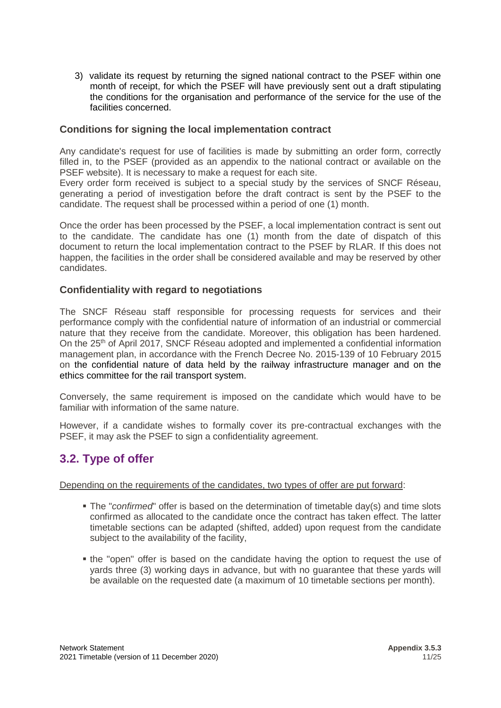3) validate its request by returning the signed national contract to the PSEF within one month of receipt, for which the PSEF will have previously sent out a draft stipulating the conditions for the organisation and performance of the service for the use of the facilities concerned.

#### **Conditions for signing the local implementation contract**

Any candidate's request for use of facilities is made by submitting an order form, correctly filled in, to the PSEF (provided as an appendix to the national contract or available on the PSEF website). It is necessary to make a request for each site.

Every order form received is subject to a special study by the services of SNCF Réseau, generating a period of investigation before the draft contract is sent by the PSEF to the candidate. The request shall be processed within a period of one (1) month.

Once the order has been processed by the PSEF, a local implementation contract is sent out to the candidate. The candidate has one (1) month from the date of dispatch of this document to return the local implementation contract to the PSEF by RLAR. If this does not happen, the facilities in the order shall be considered available and may be reserved by other candidates.

#### **Confidentiality with regard to negotiations**

The SNCF Réseau staff responsible for processing requests for services and their performance comply with the confidential nature of information of an industrial or commercial nature that they receive from the candidate. Moreover, this obligation has been hardened. On the 25<sup>th</sup> of April 2017, SNCF Réseau adopted and implemented a confidential information management plan, in accordance with the French Decree No. 2015-139 of 10 February 2015 on the confidential nature of data held by the railway infrastructure manager and on the ethics committee for the rail transport system.

Conversely, the same requirement is imposed on the candidate which would have to be familiar with information of the same nature.

However, if a candidate wishes to formally cover its pre-contractual exchanges with the PSEF, it may ask the PSEF to sign a confidentiality agreement.

### <span id="page-10-0"></span>**3.2. Type of offer**

Depending on the requirements of the candidates, two types of offer are put forward:

- **The "confirmed" offer is based on the determination of timetable day(s) and time slots** confirmed as allocated to the candidate once the contract has taken effect. The latter timetable sections can be adapted (shifted, added) upon request from the candidate subject to the availability of the facility,
- the "open" offer is based on the candidate having the option to request the use of yards three (3) working days in advance, but with no guarantee that these yards will be available on the requested date (a maximum of 10 timetable sections per month).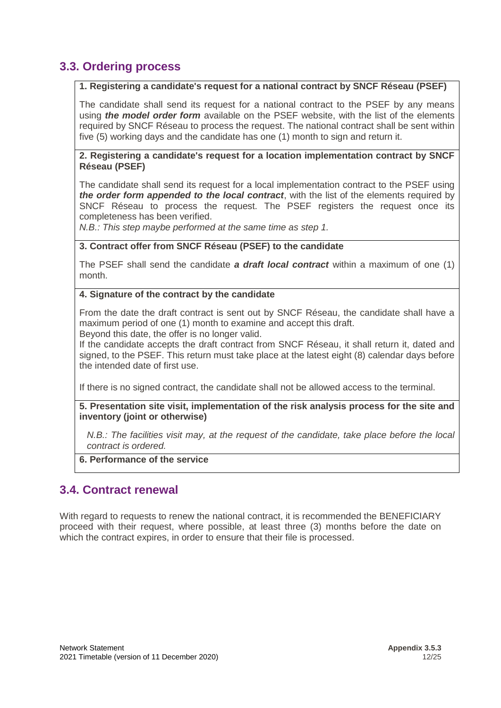### <span id="page-11-0"></span>**3.3. Ordering process**

#### **1. Registering a candidate's request for a national contract by SNCF Réseau (PSEF)**

The candidate shall send its request for a national contract to the PSEF by any means using *the model order form* available on the PSEF website, with the list of the elements required by SNCF Réseau to process the request. The national contract shall be sent within five (5) working days and the candidate has one (1) month to sign and return it.

#### **2. Registering a candidate's request for a location implementation contract by SNCF Réseau (PSEF)**

The candidate shall send its request for a local implementation contract to the PSEF using *the order form appended to the local contract*, with the list of the elements required by SNCF Réseau to process the request. The PSEF registers the request once its completeness has been verified.

*N.B.: This step maybe performed at the same time as step 1.*

#### **3. Contract offer from SNCF Réseau (PSEF) to the candidate**

The PSEF shall send the candidate *a draft local contract* within a maximum of one (1) month.

#### **4. Signature of the contract by the candidate**

From the date the draft contract is sent out by SNCF Réseau, the candidate shall have a maximum period of one (1) month to examine and accept this draft. Beyond this date, the offer is no longer valid.

If the candidate accepts the draft contract from SNCF Réseau, it shall return it, dated and signed, to the PSEF. This return must take place at the latest eight (8) calendar days before the intended date of first use.

If there is no signed contract, the candidate shall not be allowed access to the terminal.

**5. Presentation site visit, implementation of the risk analysis process for the site and inventory (joint or otherwise)**

<span id="page-11-1"></span>*N.B.: The facilities visit may, at the request of the candidate, take place before the local contract is ordered.*

#### **6. Performance of the service**

### <span id="page-11-2"></span>**3.4. Contract renewal**

With regard to requests to renew the national contract, it is recommended the BENEFICIARY proceed with their request, where possible, at least three (3) months before the date on which the contract expires, in order to ensure that their file is processed.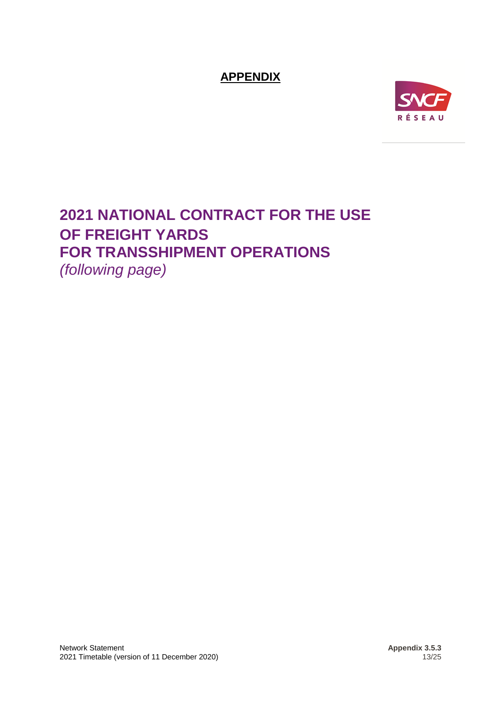<span id="page-12-0"></span>**APPENDIX**



## <span id="page-12-1"></span>**2021 NATIONAL CONTRACT FOR THE USE OF FREIGHT YARDS FOR TRANSSHIPMENT OPERATIONS** *(following page)*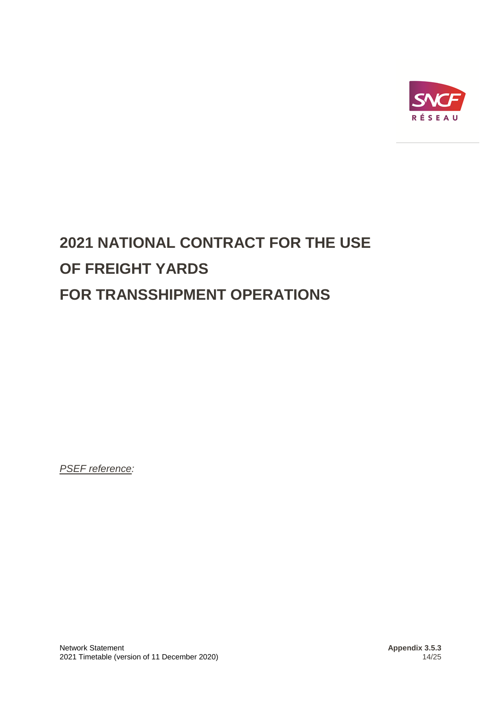

# **2021 NATIONAL CONTRACT FOR THE USE OF FREIGHT YARDS FOR TRANSSHIPMENT OPERATIONS**

*PSEF reference:*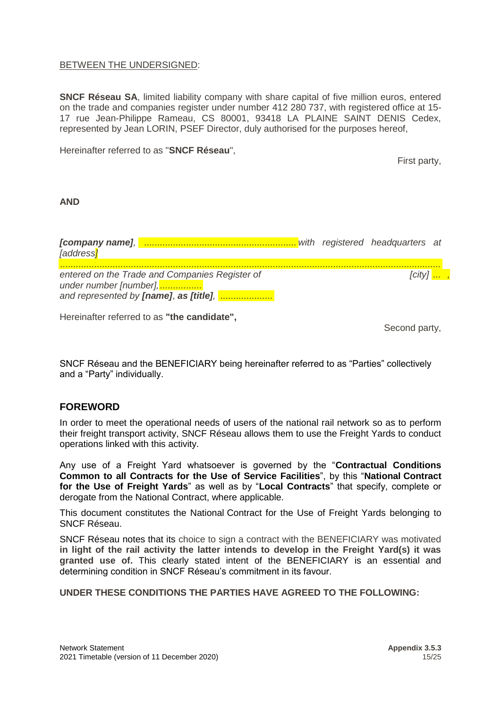#### BETWEEN THE UNDERSIGNED:

**SNCF Réseau SA**, limited liability company with share capital of five million euros, entered on the trade and companies register under number 412 280 737, with registered office at 15- 17 rue Jean-Philippe Rameau, CS 80001, 93418 LA PLAINE SAINT DENIS Cedex, represented by Jean LORIN, PSEF Director, duly authorised for the purposes hereof,

Hereinafter referred to as "**SNCF Réseau**",

First party,

#### **AND**

*[company name], .......................................................... with registered headquarters at [address] ................................................................................................................................................. entered on the Trade and Companies Register of [city] ... ,*  $[city]$  *... , under number [number],................ and represented by [name]*, *as [title], ....................*

Hereinafter referred to as **"the candidate",**

Second party,

SNCF Réseau and the BENEFICIARY being hereinafter referred to as "Parties" collectively and a "Party" individually.

#### **FOREWORD**

In order to meet the operational needs of users of the national rail network so as to perform their freight transport activity, SNCF Réseau allows them to use the Freight Yards to conduct operations linked with this activity.

Any use of a Freight Yard whatsoever is governed by the "**Contractual Conditions Common to all Contracts for the Use of Service Facilities**", by this "**National Contract for the Use of Freight Yards**" as well as by "**Local Contracts**" that specify, complete or derogate from the National Contract, where applicable.

This document constitutes the National Contract for the Use of Freight Yards belonging to SNCF Réseau.

SNCF Réseau notes that its choice to sign a contract with the BENEFICIARY was motivated **in light of the rail activity the latter intends to develop in the Freight Yard(s) it was granted use of.** This clearly stated intent of the BENEFICIARY is an essential and determining condition in SNCF Réseau's commitment in its favour.

**UNDER THESE CONDITIONS THE PARTIES HAVE AGREED TO THE FOLLOWING:**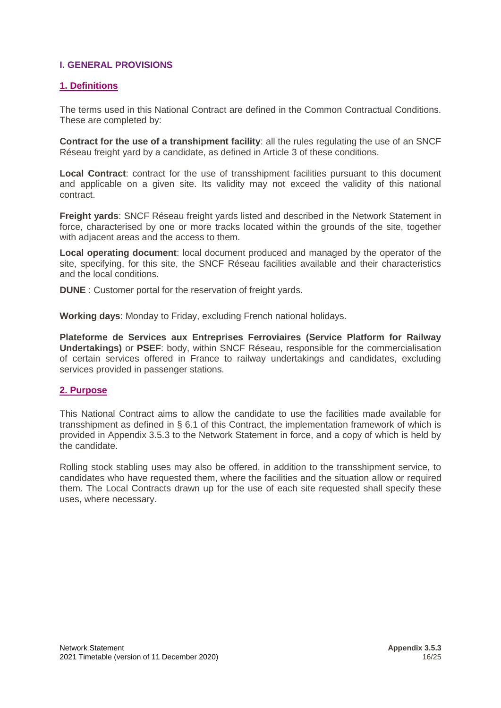#### <span id="page-15-0"></span>**I. GENERAL PROVISIONS**

#### <span id="page-15-1"></span>**1. Definitions**

The terms used in this National Contract are defined in the Common Contractual Conditions. These are completed by:

**Contract for the use of a transhipment facility**: all the rules regulating the use of an SNCF Réseau freight yard by a candidate, as defined in Article 3 of these conditions.

**Local Contract**: contract for the use of transshipment facilities pursuant to this document and applicable on a given site. Its validity may not exceed the validity of this national contract.

**Freight yards**: SNCF Réseau freight yards listed and described in the Network Statement in force, characterised by one or more tracks located within the grounds of the site, together with adjacent areas and the access to them.

**Local operating document**: local document produced and managed by the operator of the site, specifying, for this site, the SNCF Réseau facilities available and their characteristics and the local conditions.

**DUNE** : Customer portal for the reservation of freight yards.

**Working days**: Monday to Friday, excluding French national holidays.

**Plateforme de Services aux Entreprises Ferroviaires (Service Platform for Railway Undertakings)** or **PSEF**: body, within SNCF Réseau, responsible for the commercialisation of certain services offered in France to railway undertakings and candidates, excluding services provided in passenger stations.

#### <span id="page-15-2"></span>**2. Purpose**

This National Contract aims to allow the candidate to use the facilities made available for transshipment as defined in § 6.1 of this Contract, the implementation framework of which is provided in Appendix 3.5.3 to the Network Statement in force, and a copy of which is held by the candidate.

Rolling stock stabling uses may also be offered, in addition to the transshipment service, to candidates who have requested them, where the facilities and the situation allow or required them. The Local Contracts drawn up for the use of each site requested shall specify these uses, where necessary.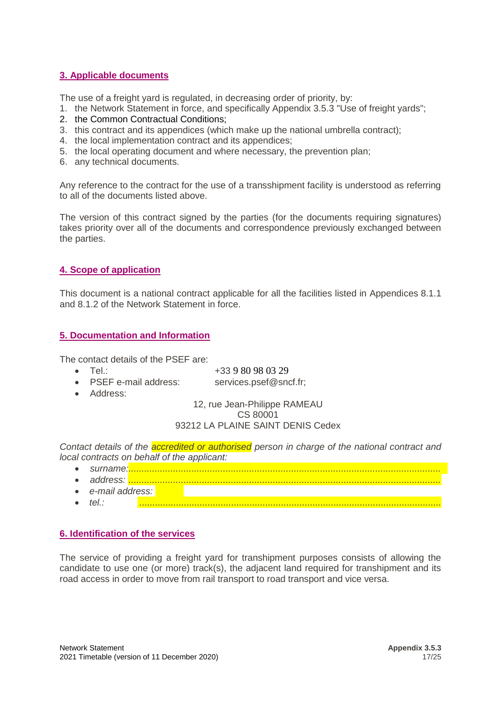#### <span id="page-16-0"></span>**3. Applicable documents**

The use of a freight yard is regulated, in decreasing order of priority, by:

- 1. the Network Statement in force, and specifically Appendix 3.5.3 "Use of freight yards";
- 2. the Common Contractual Conditions;
- 3. this contract and its appendices (which make up the national umbrella contract);
- 4. the local implementation contract and its appendices;
- 5. the local operating document and where necessary, the prevention plan;
- 6. any technical documents.

Any reference to the contract for the use of a transshipment facility is understood as referring to all of the documents listed above.

The version of this contract signed by the parties (for the documents requiring signatures) takes priority over all of the documents and correspondence previously exchanged between the parties.

#### <span id="page-16-1"></span>**4. Scope of application**

This document is a national contract applicable for all the facilities listed in Appendices 8.1.1 and 8.1.2 of the Network Statement in force.

#### <span id="page-16-2"></span>**5. Documentation and Information**

The contact details of the PSEF are:

- Tel.:  $+33980980329$
- PSEF e-mail address: [services.psef@sncf.fr;](mailto:services.psef@sncf.fr)
	-
- Address:

#### 12, rue Jean-Philippe RAMEAU CS 80001 93212 LA PLAINE SAINT DENIS Cedex

*Contact details of the accredited or authorised person in charge of the national contract and local contracts on behalf of the applicant:*

- *surname:.......................................................................................................................*
- *address: .......................................................................................................................*
- *e-mail address:*
- *tel.:* ...................................................................................................................

#### <span id="page-16-3"></span>**6. Identification of the services**

The service of providing a freight yard for transhipment purposes consists of allowing the candidate to use one (or more) track(s), the adjacent land required for transhipment and its road access in order to move from rail transport to road transport and vice versa.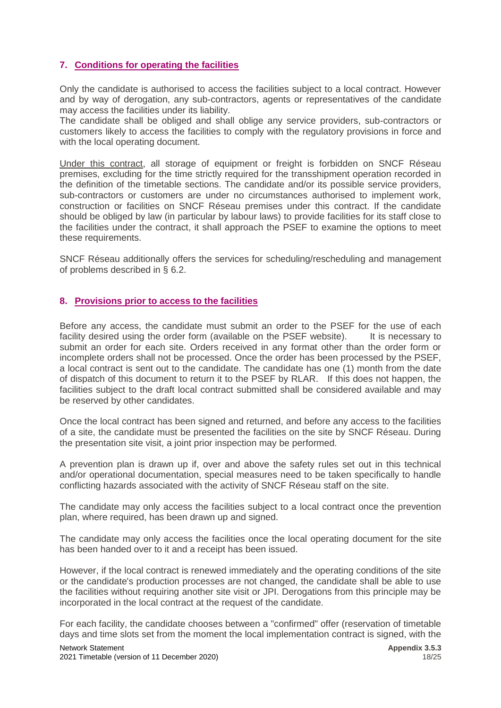#### <span id="page-17-0"></span>**7. Conditions for operating the facilities**

Only the candidate is authorised to access the facilities subject to a local contract. However and by way of derogation, any sub-contractors, agents or representatives of the candidate may access the facilities under its liability.

The candidate shall be obliged and shall oblige any service providers, sub-contractors or customers likely to access the facilities to comply with the regulatory provisions in force and with the local operating document.

Under this contract, all storage of equipment or freight is forbidden on SNCF Réseau premises, excluding for the time strictly required for the transshipment operation recorded in the definition of the timetable sections. The candidate and/or its possible service providers, sub-contractors or customers are under no circumstances authorised to implement work, construction or facilities on SNCF Réseau premises under this contract. If the candidate should be obliged by law (in particular by labour laws) to provide facilities for its staff close to the facilities under the contract, it shall approach the PSEF to examine the options to meet these requirements.

SNCF Réseau additionally offers the services for scheduling/rescheduling and management of problems described in § 6.2.

#### <span id="page-17-1"></span>**8. Provisions prior to access to the facilities**

Before any access, the candidate must submit an order to the PSEF for the use of each facility desired using the order form (available on the PSEF website). It is necessary to submit an order for each site. Orders received in any format other than the order form or incomplete orders shall not be processed. Once the order has been processed by the PSEF, a local contract is sent out to the candidate. The candidate has one (1) month from the date of dispatch of this document to return it to the PSEF by RLAR. If this does not happen, the facilities subject to the draft local contract submitted shall be considered available and may be reserved by other candidates.

Once the local contract has been signed and returned, and before any access to the facilities of a site, the candidate must be presented the facilities on the site by SNCF Réseau. During the presentation site visit, a joint prior inspection may be performed.

A prevention plan is drawn up if, over and above the safety rules set out in this technical and/or operational documentation, special measures need to be taken specifically to handle conflicting hazards associated with the activity of SNCF Réseau staff on the site.

The candidate may only access the facilities subject to a local contract once the prevention plan, where required, has been drawn up and signed.

The candidate may only access the facilities once the local operating document for the site has been handed over to it and a receipt has been issued.

However, if the local contract is renewed immediately and the operating conditions of the site or the candidate's production processes are not changed, the candidate shall be able to use the facilities without requiring another site visit or JPI. Derogations from this principle may be incorporated in the local contract at the request of the candidate.

For each facility, the candidate chooses between a "confirmed" offer (reservation of timetable days and time slots set from the moment the local implementation contract is signed, with the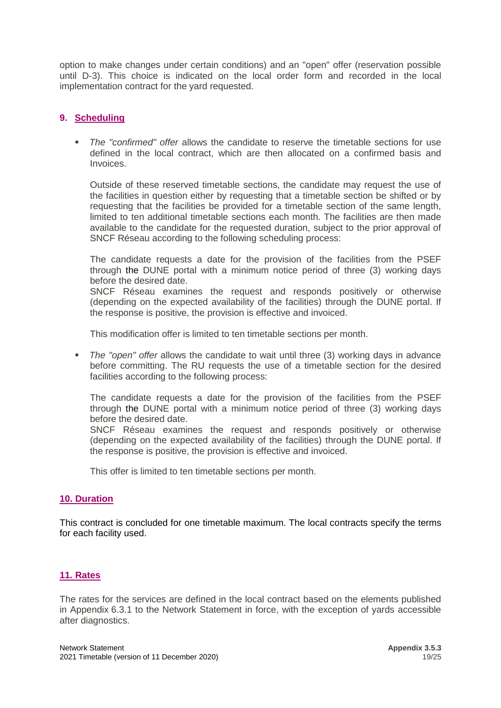option to make changes under certain conditions) and an "open" offer (reservation possible until D-3). This choice is indicated on the local order form and recorded in the local implementation contract for the yard requested.

#### <span id="page-18-0"></span>**9. Scheduling**

▪ *The "confirmed" offer* allows the candidate to reserve the timetable sections for use defined in the local contract, which are then allocated on a confirmed basis and Invoices.

Outside of these reserved timetable sections, the candidate may request the use of the facilities in question either by requesting that a timetable section be shifted or by requesting that the facilities be provided for a timetable section of the same length, limited to ten additional timetable sections each month. The facilities are then made available to the candidate for the requested duration, subject to the prior approval of SNCF Réseau according to the following scheduling process:

The candidate requests a date for the provision of the facilities from the PSEF through [the](mailto:on) DUNE portal with a minimum notice period of three (3) working days before the desired date.

SNCF Réseau examines the request and responds positively or otherwise (depending on the expected availability of the facilities) through the DUNE portal. If the response is positive, the provision is effective and invoiced.

This modification offer is limited to ten timetable sections per month.

▪ *The "open" offer* allows the candidate to wait until three (3) working days in advance before committing. The RU requests the use of a timetable section for the desired facilities according to the following process:

The candidate requests a date for the provision of the facilities from the PSEF through [the](mailto:on) DUNE portal with a minimum notice period of three (3) working days before the desired date.

SNCF Réseau examines the request and responds positively or otherwise (depending on the expected availability of the facilities) through the DUNE portal. If the response is positive, the provision is effective and invoiced.

This offer is limited to ten timetable sections per month.

#### <span id="page-18-1"></span>**10. Duration**

This contract is concluded for one timetable maximum. The local contracts specify the terms for each facility used.

#### <span id="page-18-2"></span>**11. Rates**

The rates for the services are defined in the local contract based on the elements published in Appendix 6.3.1 to the Network Statement in force, with the exception of yards accessible after diagnostics.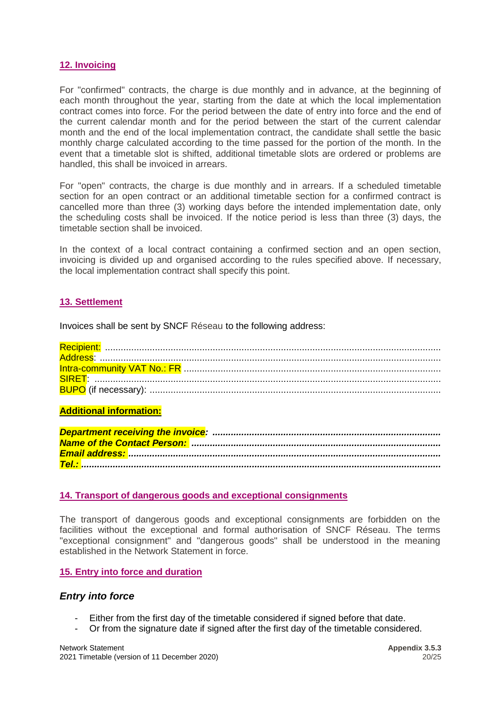#### <span id="page-19-0"></span>**12. Invoicing**

For "confirmed" contracts, the charge is due monthly and in advance, at the beginning of each month throughout the year, starting from the date at which the local implementation contract comes into force. For the period between the date of entry into force and the end of the current calendar month and for the period between the start of the current calendar month and the end of the local implementation contract, the candidate shall settle the basic monthly charge calculated according to the time passed for the portion of the month. In the event that a timetable slot is shifted, additional timetable slots are ordered or problems are handled, this shall be invoiced in arrears.

For "open" contracts, the charge is due monthly and in arrears. If a scheduled timetable section for an open contract or an additional timetable section for a confirmed contract is cancelled more than three (3) working days before the intended implementation date, only the scheduling costs shall be invoiced. If the notice period is less than three (3) days, the timetable section shall be invoiced.

In the context of a local contract containing a confirmed section and an open section, invoicing is divided up and organised according to the rules specified above. If necessary, the local implementation contract shall specify this point.

#### <span id="page-19-1"></span>**13. Settlement**

Invoices shall be sent by SNCF Réseau to the following address:

#### **Additional information:**

#### <span id="page-19-2"></span>**14. Transport of dangerous goods and exceptional consignments**

The transport of dangerous goods and exceptional consignments are forbidden on the facilities without the exceptional and formal authorisation of SNCF Réseau. The terms "exceptional consignment" and "dangerous goods" shall be understood in the meaning established in the Network Statement in force.

#### <span id="page-19-3"></span>**15. Entry into force and duration**

#### *Entry into force*

- Either from the first day of the timetable considered if signed before that date.
- Or from the signature date if signed after the first day of the timetable considered.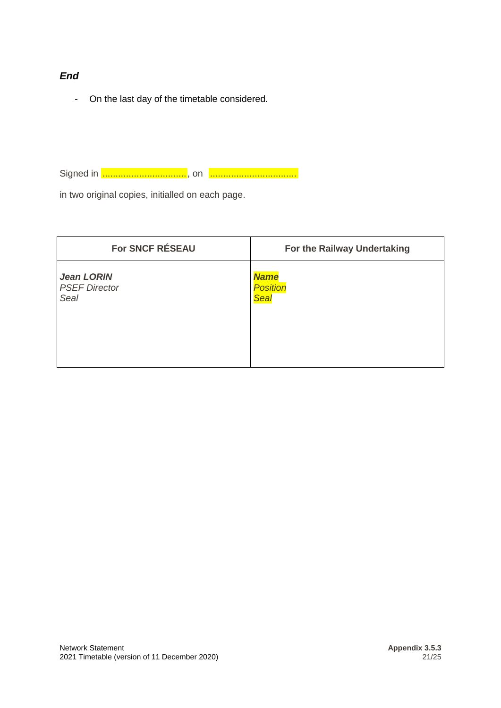#### *End*

- On the last day of the timetable considered.

Signed in ................................, on .................................

in two original copies, initialled on each page.

| For SNCF RÉSEAU      | For the Railway Undertaking |
|----------------------|-----------------------------|
| <b>Jean LORIN</b>    | <b>Name</b>                 |
| <b>PSEF Director</b> | <b>Position</b>             |
| <b>Seal</b>          | Seal                        |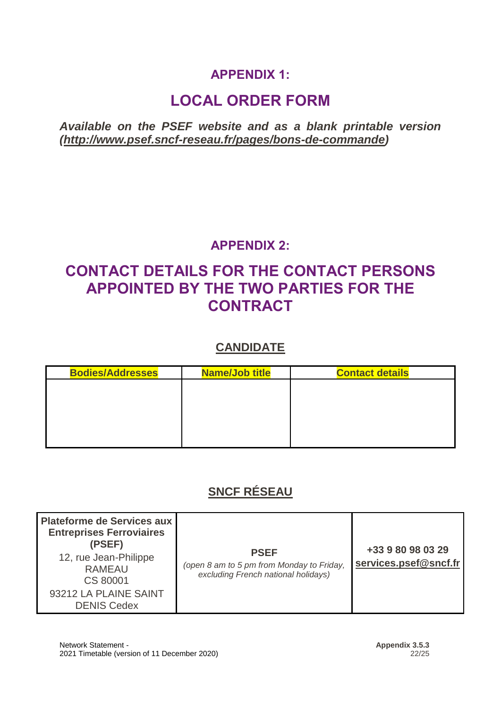## **APPENDIX 1:**

## **LOCAL ORDER FORM**

<span id="page-21-1"></span><span id="page-21-0"></span>*Available on the PSEF website and as a blank printable version [\(http://www.psef.sncf-reseau.fr/pages/bons-de-commande\)](http://www.psef.sncf-reseau.fr/pages/bons-de-commande)*

### **APPENDIX 2:**

## <span id="page-21-3"></span><span id="page-21-2"></span>**CONTACT DETAILS FOR THE CONTACT PERSONS APPOINTED BY THE TWO PARTIES FOR THE CONTRACT**

### **CANDIDATE**

| <b>Bodies/Addresses</b> | <b>Name/Job title</b> | <b>Contact details</b> |
|-------------------------|-----------------------|------------------------|
|                         |                       |                        |
|                         |                       |                        |
|                         |                       |                        |
|                         |                       |                        |
|                         |                       |                        |

## **SNCF RÉSEAU**

| <b>Plateforme de Services aux</b><br><b>Entreprises Ferroviaires</b><br>(PSEF)<br>12, rue Jean-Philippe<br><b>RAMEAU</b><br>CS 80001<br>93212 LA PLAINE SAINT<br><b>DENIS Cedex</b> | <b>PSEF</b><br>(open 8 am to 5 pm from Monday to Friday,<br>excluding French national holidays) | +33 9 80 98 03 29<br>services.psef@sncf.fr |
|-------------------------------------------------------------------------------------------------------------------------------------------------------------------------------------|-------------------------------------------------------------------------------------------------|--------------------------------------------|
|-------------------------------------------------------------------------------------------------------------------------------------------------------------------------------------|-------------------------------------------------------------------------------------------------|--------------------------------------------|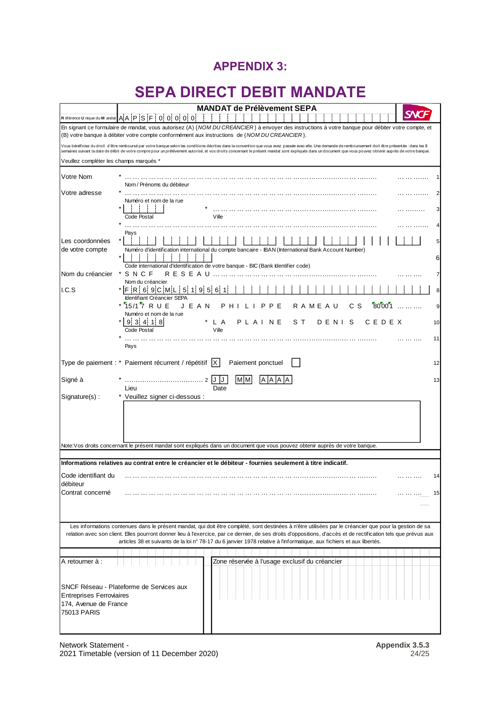### **APPENDIX 3:**

## **SEPA DIRECT DEBIT MANDATE**

<span id="page-23-1"></span><span id="page-23-0"></span>

|                                         | <b>MANDAT de Prélèvement SEPA</b>                                                                                                                                                                                                                                                                                                                                                                                       |
|-----------------------------------------|-------------------------------------------------------------------------------------------------------------------------------------------------------------------------------------------------------------------------------------------------------------------------------------------------------------------------------------------------------------------------------------------------------------------------|
|                                         | R éférence U nique du M andat AAPSF0000000                                                                                                                                                                                                                                                                                                                                                                              |
|                                         | En signant ce formulaire de mandat, vous autorisez (A) {NOM DU CREANCIER} à envoyer des instructions à votre banque pour débiter votre compte, et<br>(B) votre banque à débiter votre compte conformément aux instructions de {NOM DU CREANCIER}.                                                                                                                                                                       |
|                                         | Vous bénéficiez du droit d'être remboursé par votre banque selon les conditions décrites dans la convention que vous avez passée avec elle. Une demande de remboursement doit être présentée : dans les 8<br>semaines suivant la date de débit de votre compte pour un prélèvement autorisé, et vos droits concernant le présent mandat sont expliqués dans un document que vous pouvez obtenir auprès de votre banque. |
| Veuillez compléter les champs marqués * |                                                                                                                                                                                                                                                                                                                                                                                                                         |
| Votre Nom                               |                                                                                                                                                                                                                                                                                                                                                                                                                         |
| Votre adresse                           | Nom / Prénoms du débiteur                                                                                                                                                                                                                                                                                                                                                                                               |
|                                         | Numéro et nom de la rue                                                                                                                                                                                                                                                                                                                                                                                                 |
|                                         | Ville<br>Code Postal                                                                                                                                                                                                                                                                                                                                                                                                    |
|                                         | Pays                                                                                                                                                                                                                                                                                                                                                                                                                    |
| Les coordonnées                         |                                                                                                                                                                                                                                                                                                                                                                                                                         |
| de votre compte                         | Numéro d'identification international du compte bancaire - IBAN (International Bank Account Number)<br>6                                                                                                                                                                                                                                                                                                                |
| Nom du créancier                        | Code international d'identification de votre banque - BIC (Bank Identifier code)<br>SNCF<br>R E S E A U                                                                                                                                                                                                                                                                                                                 |
|                                         | Nom du créancier                                                                                                                                                                                                                                                                                                                                                                                                        |
| LC.S                                    | * IF IR I 6 9 C IM I<br>51<br>119<br>516<br>8<br>Identifiant Créancier SEPA                                                                                                                                                                                                                                                                                                                                             |
|                                         | * 15/17 RUE<br>80001<br>JEAN<br>c s<br>PHILIPPE<br>R A M E A U<br>9<br>Numéro et nom de la rue                                                                                                                                                                                                                                                                                                                          |
|                                         | 9!3!4!<br>PLAINE<br>118<br>L A<br>sт<br>DENIS<br>CEDEX<br>10                                                                                                                                                                                                                                                                                                                                                            |
|                                         | Code Postal<br>Ville<br>11                                                                                                                                                                                                                                                                                                                                                                                              |
|                                         | Pays                                                                                                                                                                                                                                                                                                                                                                                                                    |
|                                         | Type de paiement : * Paiement récurrent / répétitif  X  <br>Paiement ponctuel<br>12                                                                                                                                                                                                                                                                                                                                     |
| Signé à                                 | M <sub>M</sub><br>2 J J<br>13                                                                                                                                                                                                                                                                                                                                                                                           |
| Signature(s):                           | Lieu<br>Date<br>* Veuillez signer ci-dessous :                                                                                                                                                                                                                                                                                                                                                                          |
|                                         |                                                                                                                                                                                                                                                                                                                                                                                                                         |
|                                         |                                                                                                                                                                                                                                                                                                                                                                                                                         |
|                                         |                                                                                                                                                                                                                                                                                                                                                                                                                         |
|                                         | Note: Vos droits concernant le présent mandat sont expliqués dans un document que vous pouvez obtenir auprès de votre banque.                                                                                                                                                                                                                                                                                           |
|                                         | Informations relatives au contrat entre le créancier et le débiteur - fournies seulement à titre indicatif.                                                                                                                                                                                                                                                                                                             |
| Code identifiant du<br>débiteur         | 14                                                                                                                                                                                                                                                                                                                                                                                                                      |
| Contrat concerné                        | 15<br>.                                                                                                                                                                                                                                                                                                                                                                                                                 |
|                                         |                                                                                                                                                                                                                                                                                                                                                                                                                         |
|                                         |                                                                                                                                                                                                                                                                                                                                                                                                                         |
|                                         | Les informations contenues dans le présent mandat, qui doit être complété, sont destinées à n'être utilisées par le créancier que pour la gestion de sa<br>relation avec son client. Elles pourront donner lieu à l'exercice, par ce dernier, de ses droits d'oppositions, d'accès et de rectification tels que prévus aux                                                                                              |
|                                         | articles 38 et suivants de la loi n° 78-17 du 6 janvier 1978 relative à l'informatique, aux fichiers et aux libertés.                                                                                                                                                                                                                                                                                                   |
| A retourner à :                         | Zone réservée à l'usage exclusif du créancier                                                                                                                                                                                                                                                                                                                                                                           |
|                                         |                                                                                                                                                                                                                                                                                                                                                                                                                         |
|                                         | SNCF Réseau - Plateforme de Services aux                                                                                                                                                                                                                                                                                                                                                                                |
| <b>Entreprises Ferroviaires</b>         |                                                                                                                                                                                                                                                                                                                                                                                                                         |
| 174, Avenue de France<br>75013 PARIS    |                                                                                                                                                                                                                                                                                                                                                                                                                         |
|                                         |                                                                                                                                                                                                                                                                                                                                                                                                                         |

Network Statement -<br>
2021 Timetable (version of 11 December 2020)<br>
24/25<br>
24/25 2021 Timetable (version of 11 December 2020)